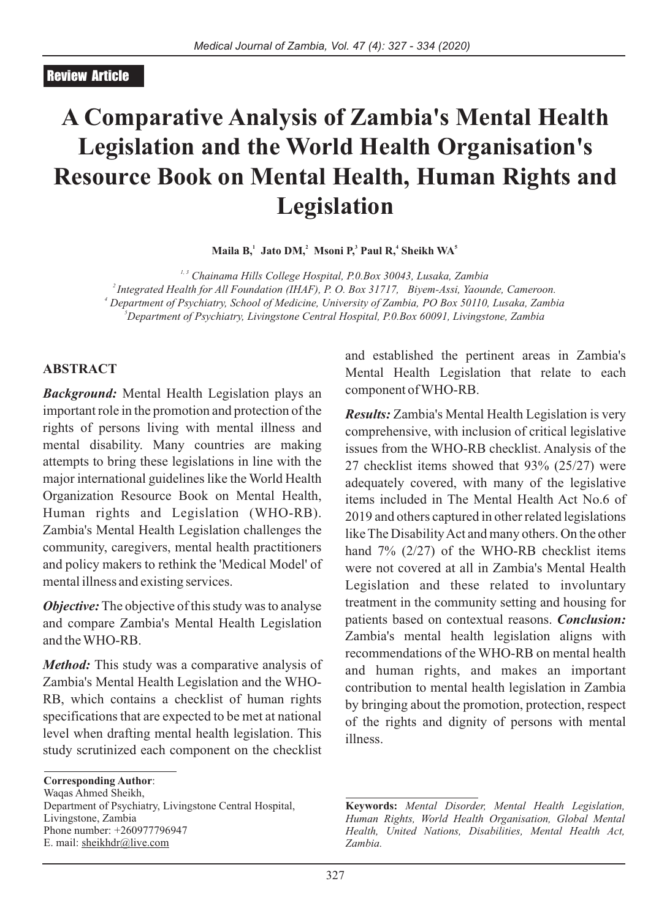#### Review Article

# **A Comparative Analysis of Zambia's Mental Health Legislation and the World Health Organisation's Resource Book on Mental Health, Human Rights and Legislation**

**<sup>1</sup> <sup>2</sup> <sup>3</sup> <sup>4</sup> <sup>5</sup> Maila B, Jato DM, Msoni P, Paul R, Sheikh WA**

*1, 3 Chainama Hills College Hospital, P.0.Box 30043, Lusaka, Zambia Integrated Health for All Foundation (IHAF), P. O. Box 31717, Biyem-Assi, Yaounde, Cameroon. Department of Psychiatry, School of Medicine, University of Zambia, PO Box 50110, Lusaka, Zambia Department of Psychiatry, Livingstone Central Hospital, P.0.Box 60091, Livingstone, Zambia*

#### **ABSTRACT**

*Background:* Mental Health Legislation plays an important role in the promotion and protection of the rights of persons living with mental illness and mental disability. Many countries are making attempts to bring these legislations in line with the major international guidelines like the World Health Organization Resource Book on Mental Health, Human rights and Legislation (WHO-RB). Zambia's Mental Health Legislation challenges the community, caregivers, mental health practitioners and policy makers to rethink the 'Medical Model' of mental illness and existing services.

*Objective:* The objective of this study was to analyse and compare Zambia's Mental Health Legislation and the WHO-RB.

*Method:* This study was a comparative analysis of Zambia's Mental Health Legislation and the WHO-RB, which contains a checklist of human rights specifications that are expected to be met at national level when drafting mental health legislation. This study scrutinized each component on the checklist

**Corresponding Author**:

Waqas Ahmed Sheikh, Department of Psychiatry, Livingstone Central Hospital, Livingstone, Zambia Phone number: +260977796947 E. mail: sheikhdr@live.com

and established the pertinent areas in Zambia's Mental Health Legislation that relate to each component of WHO-RB.

*Results:* Zambia's Mental Health Legislation is very comprehensive, with inclusion of critical legislative issues from the WHO-RB checklist. Analysis of the 27 checklist items showed that 93% (25/27) were adequately covered, with many of the legislative items included in The Mental Health Act No.6 of 2019 and others captured in other related legislations like The Disability Act and many others. On the other hand 7% (2/27) of the WHO-RB checklist items were not covered at all in Zambia's Mental Health Legislation and these related to involuntary treatment in the community setting and housing for patients based on contextual reasons. *Conclusion:* Zambia's mental health legislation aligns with recommendations of the WHO-RB on mental health and human rights, and makes an important contribution to mental health legislation in Zambia by bringing about the promotion, protection, respect of the rights and dignity of persons with mental illness.

**Keywords:** *Mental Disorder, Mental Health Legislation, Human Rights, World Health Organisation, Global Mental Health, United Nations, Disabilities, Mental Health Act, Zambia.*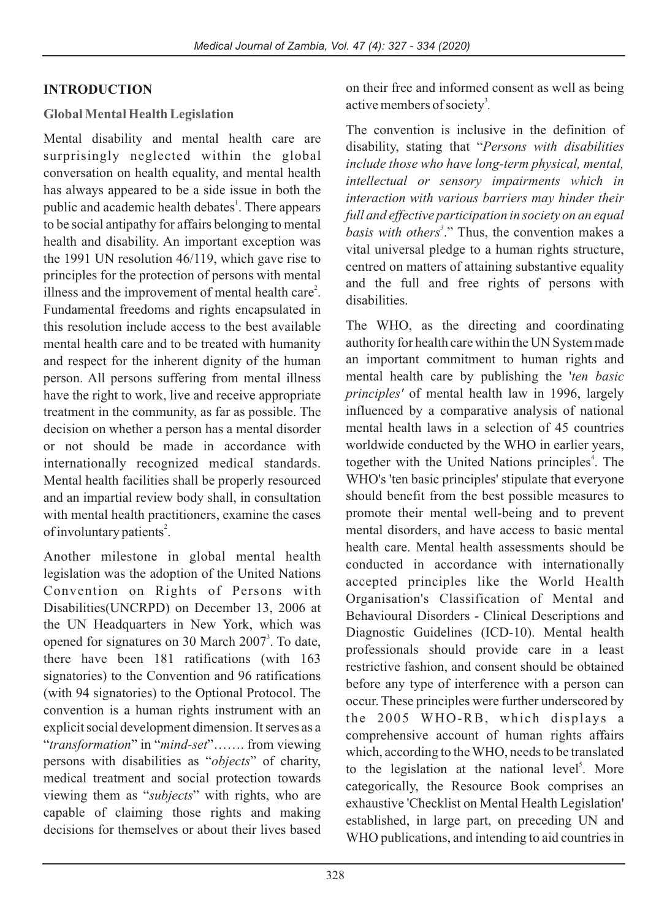#### **INTRODUCTION**

#### **Global Mental Health Legislation**

Mental disability and mental health care are surprisingly neglected within the global conversation on health equality, and mental health has always appeared to be a side issue in both the public and academic health debates<sup>1</sup>. There appears to be social antipathy for affairs belonging to mental health and disability. An important exception was the 1991 UN resolution 46/119, which gave rise to principles for the protection of persons with mental illness and the improvement of mental health care<sup>2</sup>. Fundamental freedoms and rights encapsulated in this resolution include access to the best available mental health care and to be treated with humanity and respect for the inherent dignity of the human person. All persons suffering from mental illness have the right to work, live and receive appropriate treatment in the community, as far as possible. The decision on whether a person has a mental disorder or not should be made in accordance with internationally recognized medical standards. Mental health facilities shall be properly resourced and an impartial review body shall, in consultation with mental health practitioners, examine the cases of involuntary patients<sup>2</sup>.

Another milestone in global mental health legislation was the adoption of the United Nations Convention on Rights of Persons with Disabilities(UNCRPD) on December 13, 2006 at the UN Headquarters in New York, which was opened for signatures on 30 March 2007<sup>3</sup>. To date, there have been 181 ratifications (with 163 signatories) to the Convention and 96 ratifications (with 94 signatories) to the Optional Protocol. The convention is a human rights instrument with an explicit social development dimension. It serves as a "*transformation*" in "*mind-set*"……. from viewing persons with disabilities as "*objects*" of charity, medical treatment and social protection towards viewing them as "*subjects*" with rights, who are capable of claiming those rights and making decisions for themselves or about their lives based

on their free and informed consent as well as being active members of society<sup>3</sup>.

The convention is inclusive in the definition of disability, stating that "*Persons with disabilities include those who have long-term physical, mental, intellectual or sensory impairments which in interaction with various barriers may hinder their full and effective participation in society on an equal 3 basis with others* ." Thus, the convention makes a vital universal pledge to a human rights structure, centred on matters of attaining substantive equality and the full and free rights of persons with disabilities.

The WHO, as the directing and coordinating authority for health care within the UN System made an important commitment to human rights and mental health care by publishing the '*ten basic principles'* of mental health law in 1996, largely influenced by a comparative analysis of national mental health laws in a selection of 45 countries worldwide conducted by the WHO in earlier years, together with the United Nations principles<sup>4</sup>. The WHO's 'ten basic principles' stipulate that everyone should benefit from the best possible measures to promote their mental well-being and to prevent mental disorders, and have access to basic mental health care. Mental health assessments should be conducted in accordance with internationally accepted principles like the World Health Organisation's Classification of Mental and Behavioural Disorders - Clinical Descriptions and Diagnostic Guidelines (ICD-10). Mental health professionals should provide care in a least restrictive fashion, and consent should be obtained before any type of interference with a person can occur. These principles were further underscored by the 2005 WHO-RB, which displays a comprehensive account of human rights affairs which, according to the WHO, needs to be translated to the legislation at the national level<sup>5</sup>. More categorically, the Resource Book comprises an exhaustive 'Checklist on Mental Health Legislation' established, in large part, on preceding UN and WHO publications, and intending to aid countries in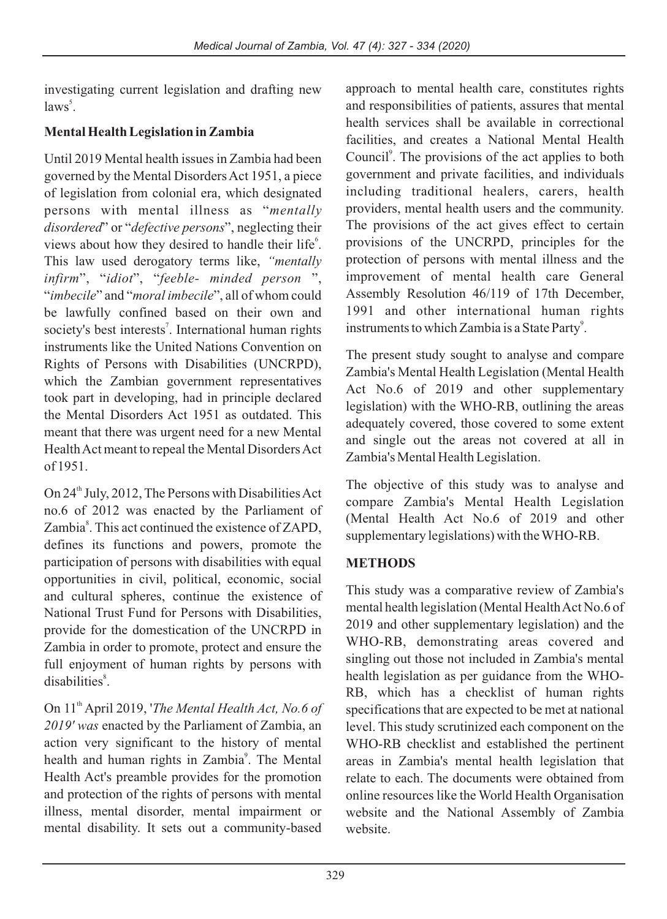investigating current legislation and drafting new  $laws<sup>5</sup>$ .

# **Mental Health Legislation in Zambia**

Until 2019 Mental health issues in Zambia had been governed by the Mental Disorders Act 1951, a piece of legislation from colonial era, which designated persons with mental illness as "*mentally disordered*" or "*defective persons*", neglecting their views about how they desired to handle their life<sup>6</sup>. This law used derogatory terms like, *"mentally infirm*", "*idiot*", "*feeble- minded person* ", "*imbecile*" and "*moral imbecile*", all of whom could be lawfully confined based on their own and society's best interests<sup>7</sup>. International human rights instruments like the United Nations Convention on Rights of Persons with Disabilities (UNCRPD), which the Zambian government representatives took part in developing, had in principle declared the Mental Disorders Act 1951 as outdated. This meant that there was urgent need for a new Mental Health Act meant to repeal the Mental Disorders Act of 1951.

On 24<sup>th</sup> July, 2012, The Persons with Disabilities Act no.6 of 2012 was enacted by the Parliament of Zambia<sup>8</sup>. This act continued the existence of ZAPD, defines its functions and powers, promote the participation of persons with disabilities with equal opportunities in civil, political, economic, social and cultural spheres, continue the existence of National Trust Fund for Persons with Disabilities, provide for the domestication of the UNCRPD in Zambia in order to promote, protect and ensure the full enjoyment of human rights by persons with disabilities<sup>8</sup>.

On 11<sup>th</sup> April 2019, '*The Mental Health Act, No.6 of 2019' was* enacted by the Parliament of Zambia, an action very significant to the history of mental health and human rights in Zambia<sup>9</sup>. The Mental Health Act's preamble provides for the promotion and protection of the rights of persons with mental illness, mental disorder, mental impairment or mental disability. It sets out a community-based

approach to mental health care, constitutes rights and responsibilities of patients, assures that mental health services shall be available in correctional facilities, and creates a National Mental Health Council<sup>9</sup>. The provisions of the act applies to both government and private facilities, and individuals including traditional healers, carers, health providers, mental health users and the community. The provisions of the act gives effect to certain provisions of the UNCRPD, principles for the protection of persons with mental illness and the improvement of mental health care General Assembly Resolution 46/119 of 17th December, 1991 and other international human rights instruments to which Zambia is a State Party<sup>9</sup>.

The present study sought to analyse and compare Zambia's Mental Health Legislation (Mental Health Act No.6 of 2019 and other supplementary legislation) with the WHO-RB, outlining the areas adequately covered, those covered to some extent and single out the areas not covered at all in Zambia's Mental Health Legislation.

The objective of this study was to analyse and compare Zambia's Mental Health Legislation (Mental Health Act No.6 of 2019 and other supplementary legislations) with the WHO-RB.

# **METHODS**

This study was a comparative review of Zambia's mental health legislation (Mental Health Act No.6 of 2019 and other supplementary legislation) and the WHO-RB, demonstrating areas covered and singling out those not included in Zambia's mental health legislation as per guidance from the WHO-RB, which has a checklist of human rights specifications that are expected to be met at national level. This study scrutinized each component on the WHO-RB checklist and established the pertinent areas in Zambia's mental health legislation that relate to each. The documents were obtained from online resources like the World Health Organisation website and the National Assembly of Zambia website.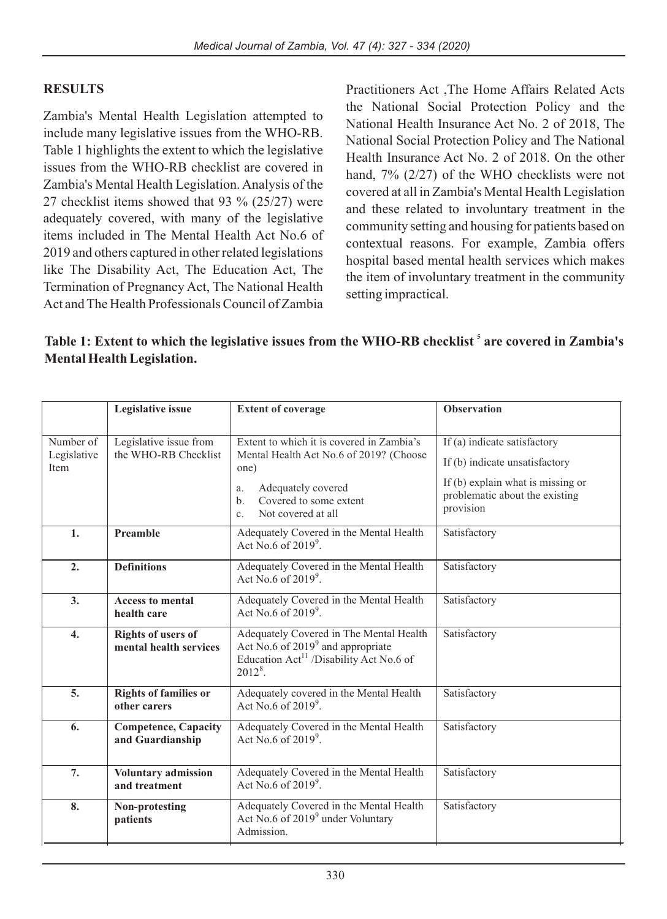#### **RESULTS**

Zambia's Mental Health Legislation attempted to include many legislative issues from the WHO-RB. Table 1 highlights the extent to which the legislative issues from the WHO-RB checklist are covered in Zambia's Mental Health Legislation. Analysis of the 27 checklist items showed that 93 % (25/27) were adequately covered, with many of the legislative items included in The Mental Health Act No.6 of 2019 and others captured in other related legislations like The Disability Act, The Education Act, The Termination of Pregnancy Act, The National Health Act and The Health Professionals Council of Zambia Practitioners Act ,The Home Affairs Related Acts the National Social Protection Policy and the National Health Insurance Act No. 2 of 2018, The National Social Protection Policy and The National Health Insurance Act No. 2 of 2018. On the other hand, 7% (2/27) of the WHO checklists were not covered at all in Zambia's Mental Health Legislation and these related to involuntary treatment in the community setting and housing for patients based on contextual reasons. For example, Zambia offers hospital based mental health services which makes the item of involuntary treatment in the community setting impractical.

#### Table 1: Extent to which the legislative issues from the WHO-RB checklist<sup>5</sup> are covered in Zambia's **Mental Health Legislation.**

|                                  | Legislative issue                                   | <b>Extent of coverage</b>                                                                                                                                                                                 | <b>Observation</b>                                                                                                                                   |
|----------------------------------|-----------------------------------------------------|-----------------------------------------------------------------------------------------------------------------------------------------------------------------------------------------------------------|------------------------------------------------------------------------------------------------------------------------------------------------------|
| Number of<br>Legislative<br>Item | Legislative issue from<br>the WHO-RB Checklist      | Extent to which it is covered in Zambia's<br>Mental Health Act No.6 of 2019? (Choose<br>one)<br>Adequately covered<br>a.<br>Covered to some extent<br>$h_{\cdot}$<br>Not covered at all<br>C <sub>1</sub> | If (a) indicate satisfactory<br>If (b) indicate unsatisfactory<br>If $(b)$ explain what is missing or<br>problematic about the existing<br>provision |
| 1.                               | Preamble                                            | Adequately Covered in the Mental Health<br>Act No.6 of $2019^9$ .                                                                                                                                         | Satisfactory                                                                                                                                         |
| 2.                               | <b>Definitions</b>                                  | Adequately Covered in the Mental Health<br>Act No.6 of $2019^9$ .                                                                                                                                         | Satisfactory                                                                                                                                         |
| 3.                               | <b>Access to mental</b><br>health care              | Adequately Covered in the Mental Health<br>Act No.6 of $2019^9$ .                                                                                                                                         | Satisfactory                                                                                                                                         |
| $\overline{4}$ .                 | <b>Rights of users of</b><br>mental health services | Adequately Covered in The Mental Health<br>Act No.6 of 2019 <sup>9</sup> and appropriate<br>Education Act <sup>11</sup> /Disability Act No.6 of<br>$2012^8$ .                                             | Satisfactory                                                                                                                                         |
| 5 <sub>1</sub>                   | <b>Rights of families or</b><br>other carers        | Adequately covered in the Mental Health<br>Act No.6 of $2019^9$ .                                                                                                                                         | Satisfactory                                                                                                                                         |
| 6.                               | <b>Competence, Capacity</b><br>and Guardianship     | Adequately Covered in the Mental Health<br>Act No.6 of $2019^9$ .                                                                                                                                         | Satisfactory                                                                                                                                         |
| 7.                               | Voluntary admission<br>and treatment                | Adequately Covered in the Mental Health<br>Act No.6 of $2019^9$ .                                                                                                                                         | Satisfactory                                                                                                                                         |
| 8.                               | Non-protesting<br>patients                          | Adequately Covered in the Mental Health<br>Act No.6 of 2019 <sup>9</sup> under Voluntary<br>Admission.                                                                                                    | Satisfactory                                                                                                                                         |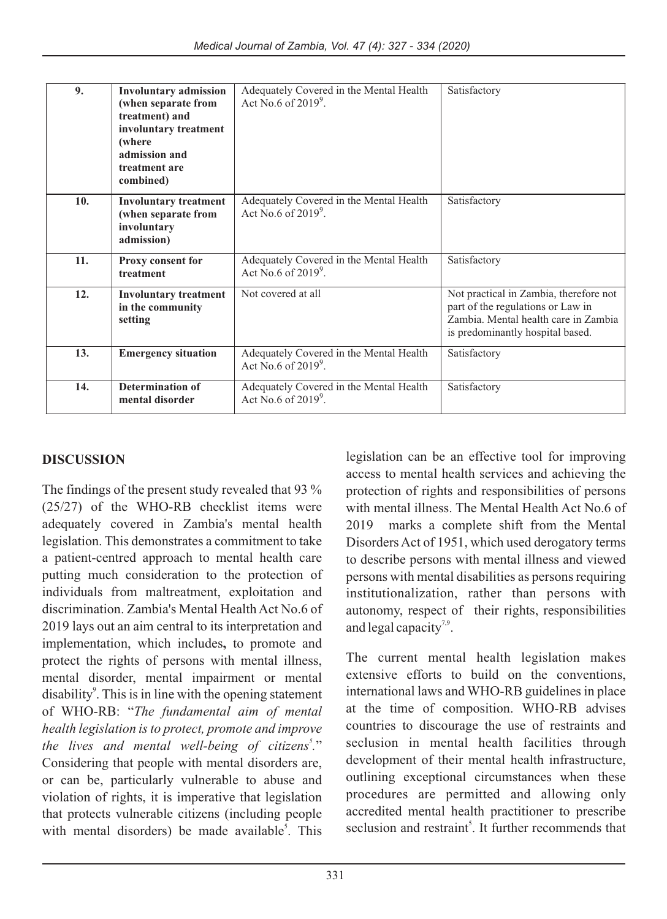| 9.  | <b>Involuntary admission</b><br>(when separate from<br>treatment) and<br>involuntary treatment<br>(where)<br>admission and<br>treatment are<br>combined) | Adequately Covered in the Mental Health<br>Act No.6 of $2019^9$ . | Satisfactory                                                                                                                                            |
|-----|----------------------------------------------------------------------------------------------------------------------------------------------------------|-------------------------------------------------------------------|---------------------------------------------------------------------------------------------------------------------------------------------------------|
| 10. | <b>Involuntary treatment</b><br>(when separate from<br>involuntary<br>admission)                                                                         | Adequately Covered in the Mental Health<br>Act No.6 of $2019^9$ . | Satisfactory                                                                                                                                            |
| 11. | <b>Proxy consent for</b><br>treatment                                                                                                                    | Adequately Covered in the Mental Health<br>Act No.6 of $2019^9$ . | Satisfactory                                                                                                                                            |
| 12. | <b>Involuntary treatment</b><br>in the community<br>setting                                                                                              | Not covered at all                                                | Not practical in Zambia, therefore not<br>part of the regulations or Law in<br>Zambia. Mental health care in Zambia<br>is predominantly hospital based. |
| 13. | <b>Emergency situation</b>                                                                                                                               | Adequately Covered in the Mental Health<br>Act No.6 of $2019^9$ . | Satisfactory                                                                                                                                            |
| 14. | <b>Determination of</b><br>mental disorder                                                                                                               | Adequately Covered in the Mental Health<br>Act No.6 of $2019^9$ . | Satisfactory                                                                                                                                            |

#### **DISCUSSION**

The findings of the present study revealed that 93 % (25/27) of the WHO-RB checklist items were adequately covered in Zambia's mental health legislation. This demonstrates a commitment to take a patient-centred approach to mental health care putting much consideration to the protection of individuals from maltreatment, exploitation and discrimination. Zambia's Mental Health Act No.6 of 2019 lays out an aim central to its interpretation and implementation, which includes**,** to promote and protect the rights of persons with mental illness, mental disorder, mental impairment or mental disability<sup>9</sup>. This is in line with the opening statement of WHO-RB: "*The fundamental aim of mental health legislation is to protect, promote and improve 5 the lives and mental well-being of citizens .*" Considering that people with mental disorders are, or can be, particularly vulnerable to abuse and violation of rights, it is imperative that legislation that protects vulnerable citizens (including people with mental disorders) be made available<sup>5</sup>. This

legislation can be an effective tool for improving access to mental health services and achieving the protection of rights and responsibilities of persons with mental illness. The Mental Health Act No.6 of 2019 marks a complete shift from the Mental Disorders Act of 1951, which used derogatory terms to describe persons with mental illness and viewed persons with mental disabilities as persons requiring institutionalization, rather than persons with autonomy, respect of their rights, responsibilities and legal capacity<sup>7,9</sup>.

The current mental health legislation makes extensive efforts to build on the conventions, international laws and WHO-RB guidelines in place at the time of composition. WHO-RB advises countries to discourage the use of restraints and seclusion in mental health facilities through development of their mental health infrastructure, outlining exceptional circumstances when these procedures are permitted and allowing only accredited mental health practitioner to prescribe seclusion and restraint<sup>5</sup>. It further recommends that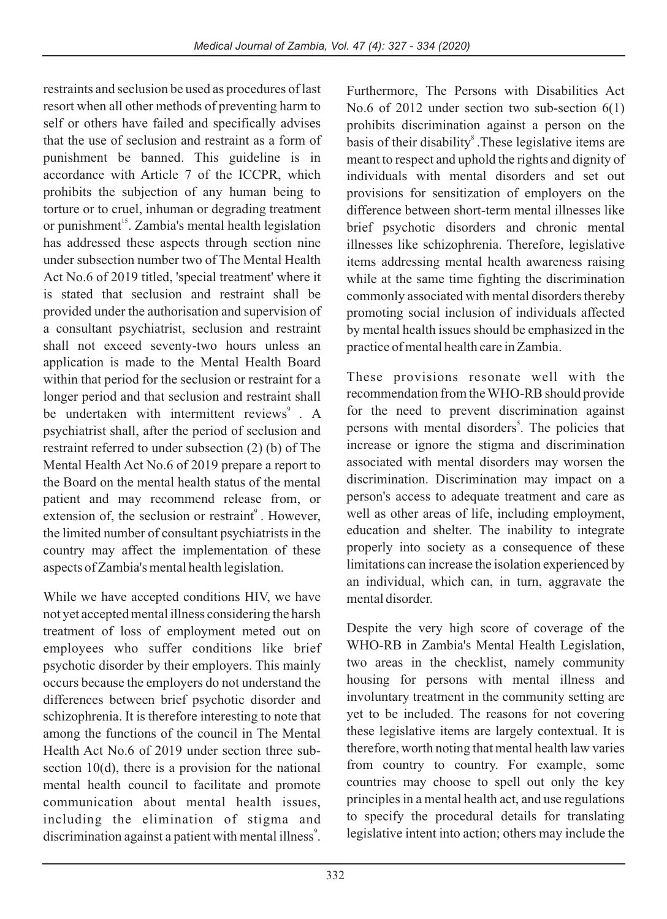restraints and seclusion be used as procedures of last resort when all other methods of preventing harm to self or others have failed and specifically advises that the use of seclusion and restraint as a form of punishment be banned. This guideline is in accordance with Article 7 of the ICCPR, which prohibits the subjection of any human being to torture or to cruel, inhuman or degrading treatment or punishment<sup>15</sup>. Zambia's mental health legislation has addressed these aspects through section nine under subsection number two of The Mental Health Act No.6 of 2019 titled, 'special treatment' where it is stated that seclusion and restraint shall be provided under the authorisation and supervision of a consultant psychiatrist, seclusion and restraint shall not exceed seventy-two hours unless an application is made to the Mental Health Board within that period for the seclusion or restraint for a longer period and that seclusion and restraint shall be undertaken with intermittent reviews<sup>9</sup>. A psychiatrist shall, after the period of seclusion and restraint referred to under subsection (2) (b) of The Mental Health Act No.6 of 2019 prepare a report to the Board on the mental health status of the mental patient and may recommend release from, or extension of, the seclusion or restraint<sup>9</sup>. However, the limited number of consultant psychiatrists in the country may affect the implementation of these aspects of Zambia's mental health legislation.

While we have accepted conditions HIV, we have not yet accepted mental illness considering the harsh treatment of loss of employment meted out on employees who suffer conditions like brief psychotic disorder by their employers. This mainly occurs because the employers do not understand the differences between brief psychotic disorder and schizophrenia. It is therefore interesting to note that among the functions of the council in The Mental Health Act No.6 of 2019 under section three subsection 10(d), there is a provision for the national mental health council to facilitate and promote communication about mental health issues, including the elimination of stigma and discrimination against a patient with mental illness<sup>9</sup>. Furthermore, The Persons with Disabilities Act No.6 of 2012 under section two sub-section 6(1) prohibits discrimination against a person on the basis of their disability<sup>8</sup>. These legislative items are meant to respect and uphold the rights and dignity of individuals with mental disorders and set out provisions for sensitization of employers on the difference between short-term mental illnesses like brief psychotic disorders and chronic mental illnesses like schizophrenia. Therefore, legislative items addressing mental health awareness raising while at the same time fighting the discrimination commonly associated with mental disorders thereby promoting social inclusion of individuals affected by mental health issues should be emphasized in the practice of mental health care in Zambia.

These provisions resonate well with the recommendation from the WHO-RB should provide for the need to prevent discrimination against persons with mental disorders<sup>5</sup>. The policies that increase or ignore the stigma and discrimination associated with mental disorders may worsen the discrimination. Discrimination may impact on a person's access to adequate treatment and care as well as other areas of life, including employment, education and shelter. The inability to integrate properly into society as a consequence of these limitations can increase the isolation experienced by an individual, which can, in turn, aggravate the mental disorder.

Despite the very high score of coverage of the WHO-RB in Zambia's Mental Health Legislation, two areas in the checklist, namely community housing for persons with mental illness and involuntary treatment in the community setting are yet to be included. The reasons for not covering these legislative items are largely contextual. It is therefore, worth noting that mental health law varies from country to country. For example, some countries may choose to spell out only the key principles in a mental health act, and use regulations to specify the procedural details for translating legislative intent into action; others may include the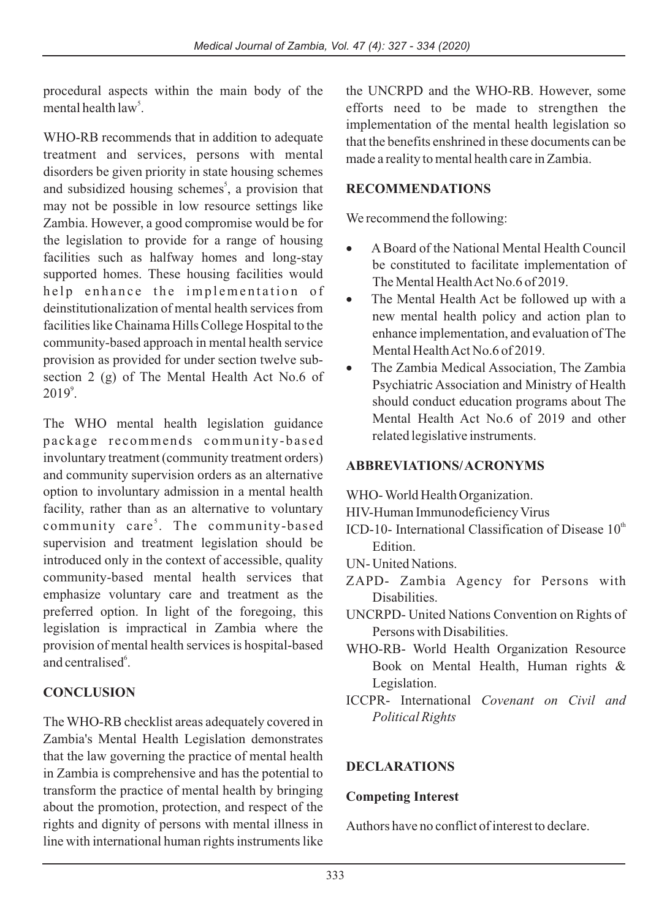procedural aspects within the main body of the mental health  $law^5$ .

WHO-RB recommends that in addition to adequate treatment and services, persons with mental disorders be given priority in state housing schemes and subsidized housing schemes<sup>5</sup>, a provision that may not be possible in low resource settings like Zambia. However, a good compromise would be for the legislation to provide for a range of housing facilities such as halfway homes and long-stay supported homes. These housing facilities would help enhance the implementation of deinstitutionalization of mental health services from facilities like Chainama Hills College Hospital to the community-based approach in mental health service provision as provided for under section twelve subsection 2 (g) of The Mental Health Act No.6 of  $2019^\circ$ .

The WHO mental health legislation guidance package recommends community-based involuntary treatment (community treatment orders) and community supervision orders as an alternative option to involuntary admission in a mental health facility, rather than as an alternative to voluntary community care<sup>5</sup>. The community-based supervision and treatment legislation should be introduced only in the context of accessible, quality community-based mental health services that emphasize voluntary care and treatment as the preferred option. In light of the foregoing, this legislation is impractical in Zambia where the provision of mental health services is hospital-based and centralised<sup>6</sup>.

## **CONCLUSION**

The WHO-RB checklist areas adequately covered in Zambia's Mental Health Legislation demonstrates that the law governing the practice of mental health in Zambia is comprehensive and has the potential to transform the practice of mental health by bringing about the promotion, protection, and respect of the rights and dignity of persons with mental illness in line with international human rights instruments like the UNCRPD and the WHO-RB. However, some efforts need to be made to strengthen the implementation of the mental health legislation so that the benefits enshrined in these documents can be made a reality to mental health care in Zambia.

#### **RECOMMENDATIONS**

We recommend the following:

- ·A Board of the National Mental Health Council be constituted to facilitate implementation of
- The Mental Health Act No.6 of 2019.<br>• The Mental Health Act be followed up with a new mental health policy and action plan to enhance implementation, and evaluation of The
- Mental Health Act No.6 of 2019.<br>• The Zambia Medical Association, The Zambia Psychiatric Association and Ministry of Health should conduct education programs about The Mental Health Act No.6 of 2019 and other related legislative instruments.

## **ABBREVIATIONS/ ACRONYMS**

WHO- World Health Organization.

- HIV-Human Immunodeficiency Virus
- ICD-10- International Classification of Disease  $10<sup>th</sup>$ Edition.
- UN- United Nations.
- ZAPD- Zambia Agency for Persons with Disabilities.
- UNCRPD- United Nations Convention on Rights of Persons with Disabilities.
- WHO-RB- World Health Organization Resource Book on Mental Health, Human rights & Legislation.
- ICCPR- International *Covenant on Civil and Political Rights*

## **DECLARATIONS**

#### **Competing Interest**

Authors have no conflict of interest to declare.